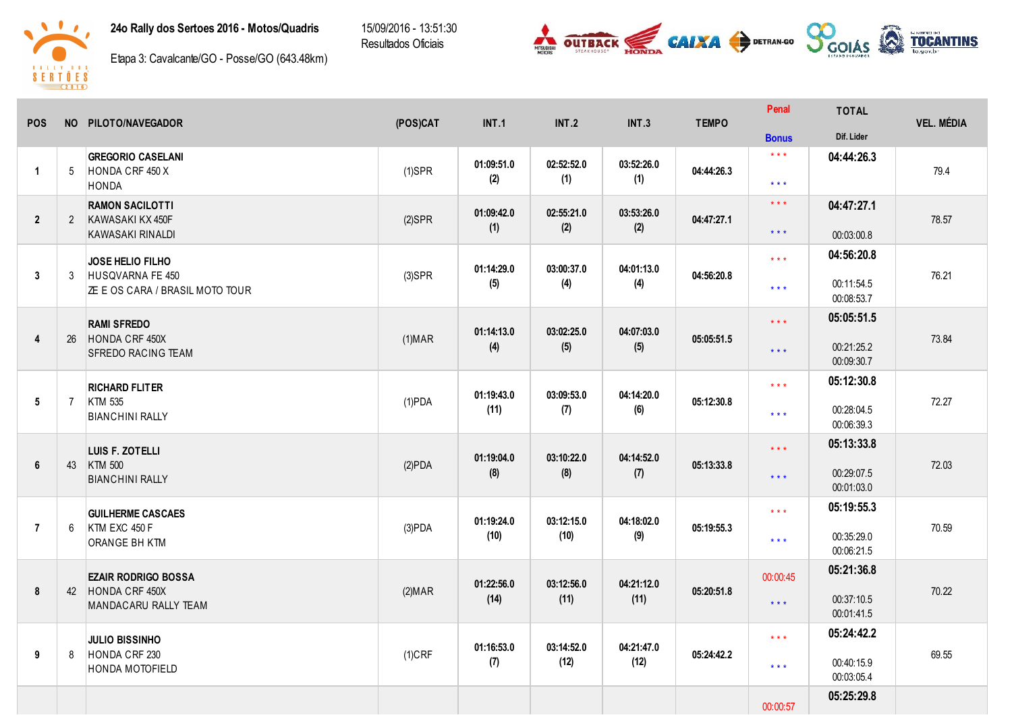

24o Rally dos Sertoes 2016 - Motos/Quadris

15/09/2016 - 13:51:30 Resultados Oficiais





Etapa 3: Cavalcante/GO - Posse/GO (643.48km)

| <b>POS</b>     |                | NO PILOTO/NAVEGADOR                       | (POS)CAT       | INT.1              | <b>INT.2</b>       | <b>INT.3</b>      | <b>TEMPO</b> | Penal                   | <b>TOTAL</b>             | <b>VEL. MÉDIA</b> |
|----------------|----------------|-------------------------------------------|----------------|--------------------|--------------------|-------------------|--------------|-------------------------|--------------------------|-------------------|
|                |                |                                           |                |                    |                    |                   |              | <b>Bonus</b>            | Dif. Lider               |                   |
|                |                | <b>GREGORIO CASELANI</b>                  |                | 01:09:51.0         | 02:52:52.0         | 03:52:26.0        |              | $\star$ $\star$ $\star$ | 04:44:26.3               |                   |
| $\mathbf{1}$   | 5              | HONDA CRF 450 X<br><b>HONDA</b>           | $(1)$ SPR      | (2)                | (1)                | (1)               | 04:44:26.3   | $***$                   |                          | 79.4              |
|                |                | <b>RAMON SACILOTTI</b>                    |                | 01:09:42.0         | 02:55:21.0         | 03:53:26.0        |              | $\star \star \star$     | 04:47:27.1               |                   |
| $\overline{2}$ | $\overline{2}$ | KAWASAKI KX 450F<br>KAWASAKI RINALDI      | $(2)$ SPR      | (1)                | (2)                | (2)               | 04:47:27.1   | $\star\star\star$       | 00:03:00.8               | 78.57             |
|                |                |                                           |                |                    |                    |                   |              | $***$                   | 04:56:20.8               |                   |
| $\overline{3}$ | 3              | JOSE HELIO FILHO<br>HUSQVARNA FE 450      | $(3)$ SPR      | 01:14:29.0<br>(5)  | 03:00:37.0<br>(4)  | 04:01:13.0<br>(4) | 04:56:20.8   |                         | 00:11:54.5               | 76.21             |
|                |                | <b>ZE E OS CARA / BRASIL MOTO TOUR</b>    |                |                    |                    |                   |              | $***$                   | 00:08:53.7               |                   |
|                |                | <b>RAMI SFREDO</b>                        |                |                    |                    | 04:07:03.0        |              | $\star\star\star$       | 05:05:51.5               |                   |
| $\overline{4}$ | 26             | HONDA CRF 450X<br>SFREDO RACING TEAM      | (1) <b>MAR</b> | 01:14:13.0<br>(4)  | 03:02:25.0<br>(5)  | (5)               | 05:05:51.5   | $***$                   | 00:21:25.2               | 73.84             |
|                |                |                                           |                |                    |                    |                   |              |                         | 00:09:30.7               |                   |
|                |                | <b>RICHARD FLITER</b><br><b>KTM 535</b>   | $(1)$ PDA      | 01:19:43.0         | 03:09:53.0         | 04:14:20.0        |              | $\star$ $\star$ $\star$ | 05:12:30.8               |                   |
| 5              | $\overline{7}$ | <b>BIANCHINI RALLY</b>                    |                | (11)               | (7)                | (6)               | 05:12:30.8   | $***$                   | 00:28:04.5<br>00:06:39.3 | 72.27             |
|                |                |                                           |                |                    |                    |                   |              | $\star \star \star$     | 05:13:33.8               |                   |
| 6              |                | LUIS F. ZOTELLI<br>43 KTM 500             | (2)PDA         | 01:19:04.0         | 03:10:22.0         | 04:14:52.0        | 05:13:33.8   |                         |                          | 72.03             |
|                |                | <b>BIANCHINI RALLY</b>                    |                | (8)                | (8)                | (7)               |              | $***$                   | 00:29:07.5<br>00:01:03.0 |                   |
|                |                | <b>GUILHERME CASCAES</b>                  |                |                    |                    |                   |              | $***$                   | 05:19:55.3               |                   |
| $\overline{7}$ | 6              | KTM EXC 450 F                             | $(3)$ PDA      | 01:19:24.0<br>(10) | 03:12:15.0<br>(10) | 04:18:02.0<br>(9) | 05:19:55.3   | $* * *$                 | 00:35:29.0               | 70.59             |
|                |                | ORANGE BH KTM                             |                |                    |                    |                   |              |                         | 00:06:21.5               |                   |
|                |                | <b>EZAIR RODRIGO BOSSA</b>                |                | 01:22:56.0         | 03:12:56.0         | 04:21:12.0        |              | 00:00:45                | 05:21:36.8               |                   |
| 8              |                | 42 HONDA CRF 450X<br>MANDACARU RALLY TEAM | (2) <b>MAR</b> | (14)               | (11)               | (11)              | 05:20:51.8   | $\star$ $\star$ $\star$ | 00:37:10.5               | 70.22             |
|                |                |                                           |                |                    |                    |                   |              |                         | 00:01:41.5               |                   |
|                |                | <b>JULIO BISSINHO</b>                     |                | 01:16:53.0         | 03:14:52.0         | 04:21:47.0        |              | $***$                   | 05:24:42.2               |                   |
| 9              | 8              | HONDA CRF 230<br>HONDA MOTOFIELD          | $(1)$ CRF      | (7)                | (12)               | (12)              | 05:24:42.2   | $\star$ $\star$ $\star$ | 00:40:15.9<br>00:03:05.4 | 69.55             |
|                |                |                                           |                |                    |                    |                   |              |                         | 05:25:29.8               |                   |
|                |                |                                           |                |                    |                    |                   |              | 00:00:57                |                          |                   |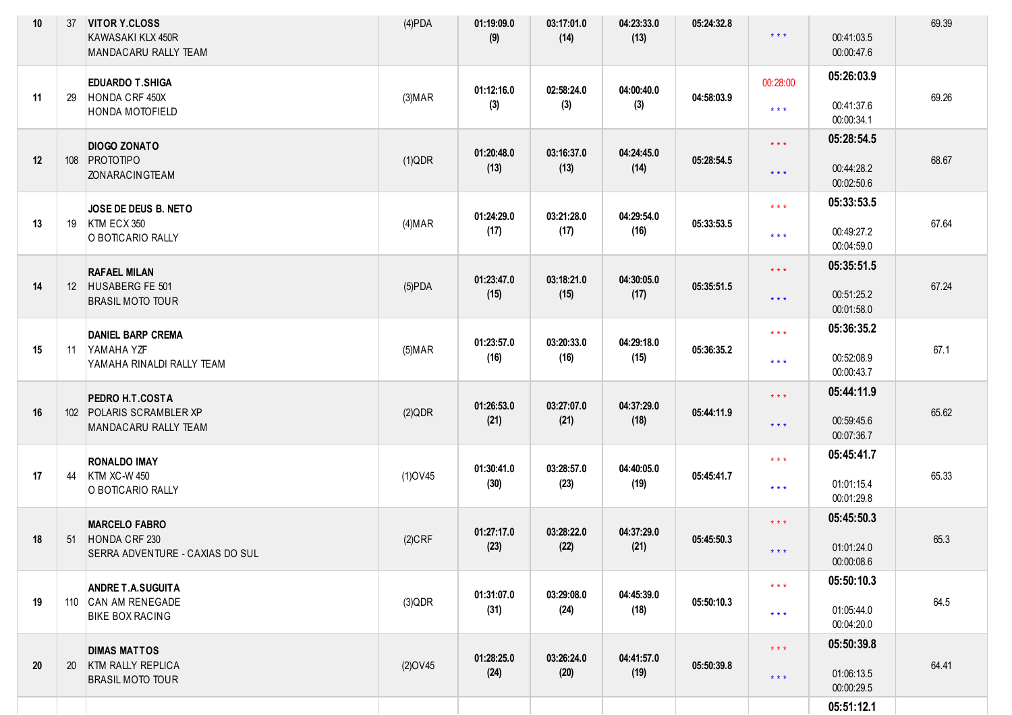| 10 <sup>°</sup> | 37        | <b>VITOR Y.CLOSS</b><br>KAWASAKI KLX 450R<br>MANDACARU RALLY TEAM          | $(4)$ PDA      | 01:19:09.0<br>(9)  | 03:17:01.0<br>(14) | 04:23:33.0<br>(13) | 05:24:32.8 | $***$                                      | 00:41:03.5<br>00:00:47.6               | 69.39 |
|-----------------|-----------|----------------------------------------------------------------------------|----------------|--------------------|--------------------|--------------------|------------|--------------------------------------------|----------------------------------------|-------|
| 11              | 29        | <b>EDUARDO T.SHIGA</b><br>HONDA CRF 450X<br>HONDA MOTOFIELD                | (3) <b>MAP</b> | 01:12:16.0<br>(3)  | 02:58:24.0<br>(3)  | 04:00:40.0<br>(3)  | 04:58:03.9 | 00:28:00<br>$***$                          | 05:26:03.9<br>00:41:37.6<br>00:00:34.1 | 69.26 |
| 12              |           | <b>DIOGO ZONATO</b><br>108 PROTOTIPO<br><b>ZONARACINGTEAM</b>              | (1)QDR         | 01:20:48.0<br>(13) | 03:16:37.0<br>(13) | 04:24:45.0<br>(14) | 05:28:54.5 | $\star \star \star$<br>$\star \star \star$ | 05:28:54.5<br>00:44:28.2<br>00:02:50.6 | 68.67 |
| 13              | 19        | JOSE DE DEUS B. NETO<br>KTM ECX 350<br>O BOTICARIO RALLY                   | (4) <b>MAR</b> | 01:24:29.0<br>(17) | 03:21:28.0<br>(17) | 04:29:54.0<br>(16) | 05:33:53.5 | $\star$ $\star$ $\star$<br>$***$           | 05:33:53.5<br>00:49:27.2<br>00:04:59.0 | 67.64 |
| 14              |           | <b>RAFAEL MILAN</b><br>12 HUSABERG FE 501<br><b>BRASIL MOTO TOUR</b>       | $(5)$ PDA      | 01:23:47.0<br>(15) | 03:18:21.0<br>(15) | 04:30:05.0<br>(17) | 05:35:51.5 | $\star \star \star$<br>$***$               | 05:35:51.5<br>00:51:25.2<br>00:01:58.0 | 67.24 |
| 15              | 11        | <b>DANIEL BARP CREMA</b><br>YAMAHA YZF<br>YAMAHA RINALDI RALLY TEAM        | $(5)$ MAR      | 01:23:57.0<br>(16) | 03:20:33.0<br>(16) | 04:29:18.0<br>(15) | 05:36:35.2 | $\star\star\star$<br>$***$                 | 05:36:35.2<br>00:52:08.9<br>00:00:43.7 | 67.1  |
| 16              |           | PEDRO H.T.COSTA<br>102 POLARIS SCRAMBLER XP<br>MANDACARU RALLY TEAM        | (2)QDR         | 01:26:53.0<br>(21) | 03:27:07.0<br>(21) | 04:37:29.0<br>(18) | 05:44:11.9 | $\star \star \star$<br>$***$               | 05:44:11.9<br>00:59:45.6<br>00:07:36.7 | 65.62 |
| 17              | 44        | <b>RONALDO IMAY</b><br><b>KTM XC-W 450</b><br>O BOTICARIO RALLY            | $(1)$ OV45     | 01:30:41.0<br>(30) | 03:28:57.0<br>(23) | 04:40:05.0<br>(19) | 05:45:41.7 | $\star\star\star$<br>$\star\star\star$     | 05:45:41.7<br>01:01:15.4<br>00:01:29.8 | 65.33 |
| 18              | 51        | <b>MARCELO FABRO</b><br>HONDA CRF 230<br>SERRA ADVENTURE - CAXIAS DO SUL   | $(2)$ CRF      | 01:27:17.0<br>(23) | 03:28:22.0<br>(22) | 04:37:29.0<br>(21) | 05:45:50.3 | $\star \star \star$<br>$***$               | 05:45:50.3<br>01:01:24.0<br>00:00:08.6 | 65.3  |
| 19              |           | <b>ANDRE T.A.SUGUITA</b><br>110 CAN AM RENEGADE<br><b>BIKE BOX RACING</b>  | (3)QDR         | 01:31:07.0<br>(31) | 03:29:08.0<br>(24) | 04:45:39.0<br>(18) | 05:50:10.3 | $***$<br>$***$                             | 05:50:10.3<br>01:05:44.0<br>00:04:20.0 | 64.5  |
| 20              | <b>20</b> | <b>DIMAS MATTOS</b><br><b>KTM RALLY REPLICA</b><br><b>BRASIL MOTO TOUR</b> | $(2)$ OV45     | 01:28:25.0<br>(24) | 03:26:24.0<br>(20) | 04:41:57.0<br>(19) | 05:50:39.8 | $\star \star \star$<br>$***$               | 05:50:39.8<br>01:06:13.5<br>00:00:29.5 | 64.41 |
|                 |           |                                                                            |                |                    |                    |                    |            |                                            | 05:51:12.1                             |       |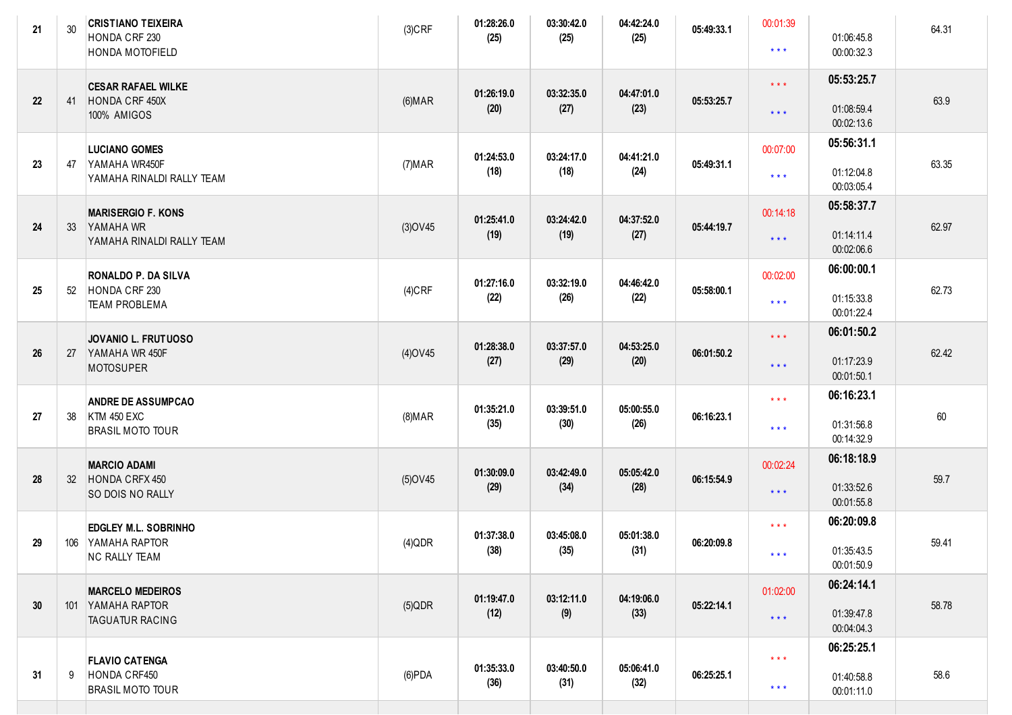| 21 | 30  | <b>CRISTIANO TEIXEIRA</b><br>HONDA CRF 230<br>HONDA MOTOFIELD              | $(3)$ CRF      | 01:28:26.0<br>(25) | 03:30:42.0<br>(25) | 04:42:24.0<br>(25) | 05:49:33.1 | 00:01:39<br>$\star$ $\star$ $\star$                | 01:06:45.8<br>00:00:32.3               | 64.31 |
|----|-----|----------------------------------------------------------------------------|----------------|--------------------|--------------------|--------------------|------------|----------------------------------------------------|----------------------------------------|-------|
| 22 | 41  | <b>CESAR RAFAEL WILKE</b><br>HONDA CRF 450X<br>100% AMIGOS                 | (6) <b>MAR</b> | 01:26:19.0<br>(20) | 03:32:35.0<br>(27) | 04:47:01.0<br>(23) | 05:53:25.7 | $\star\star\star$<br>$\star$ $\star$ $\star$       | 05:53:25.7<br>01:08:59.4<br>00:02:13.6 | 63.9  |
| 23 | 47  | <b>LUCIANO GOMES</b><br>YAMAHA WR450F<br>YAMAHA RINALDI RALLY TEAM         | (7) <b>MAR</b> | 01:24:53.0<br>(18) | 03:24:17.0<br>(18) | 04:41:21.0<br>(24) | 05:49:31.1 | 00:07:00<br>$\star\star\star$                      | 05:56:31.1<br>01:12:04.8<br>00:03:05.4 | 63.35 |
| 24 | 33  | <b>MARISERGIO F. KONS</b><br>YAMAHA WR<br>YAMAHA RINALDI RALLY TEAM        | $(3)$ OV45     | 01:25:41.0<br>(19) | 03:24:42.0<br>(19) | 04:37:52.0<br>(27) | 05:44:19.7 | 00:14:18<br>$***$                                  | 05:58:37.7<br>01:14:11.4<br>00:02:06.6 | 62.97 |
| 25 | 52  | <b>RONALDO P. DA SILVA</b><br>HONDA CRF 230<br><b>TEAM PROBLEMA</b>        | $(4)$ CRF      | 01:27:16.0<br>(22) | 03:32:19.0<br>(26) | 04:46:42.0<br>(22) | 05:58:00.1 | 00:02:00<br>$\star\star\star$                      | 06:00:00.1<br>01:15:33.8<br>00:01:22.4 | 62.73 |
| 26 | 27  | <b>JOVANIO L. FRUTUOSO</b><br>YAMAHA WR 450F<br><b>MOTOSUPER</b>           | $(4)$ OV45     | 01:28:38.0<br>(27) | 03:37:57.0<br>(29) | 04:53:25.0<br>(20) | 06:01:50.2 | $***$<br>$***$                                     | 06:01:50.2<br>01:17:23.9<br>00:01:50.1 | 62.42 |
| 27 | 38  | <b>ANDRE DE ASSUMPCAO</b><br><b>KTM 450 EXC</b><br><b>BRASIL MOTO TOUR</b> | (8) <b>MAR</b> | 01:35:21.0<br>(35) | 03:39:51.0<br>(30) | 05:00:55.0<br>(26) | 06:16:23.1 | $\star$ $\star$ $\star$<br>$\star\star\star$       | 06:16:23.1<br>01:31:56.8<br>00:14:32.9 | 60    |
| 28 |     | <b>MARCIO ADAMI</b><br>32 HONDA CRFX 450<br>SO DOIS NO RALLY               | $(5)$ OV45     | 01:30:09.0<br>(29) | 03:42:49.0<br>(34) | 05:05:42.0<br>(28) | 06:15:54.9 | 00:02:24<br>$\star \star \star$                    | 06:18:18.9<br>01:33:52.6<br>00:01:55.8 | 59.7  |
| 29 |     | EDGLEY M.L. SOBRINHO<br>106 YAMAHA RAPTOR<br><b>NC RALLY TEAM</b>          | $(4)$ QDR      | 01:37:38.0<br>(38) | 03:45:08.0<br>(35) | 05:01:38.0<br>(31) | 06:20:09.8 | $\star\star\star$<br>* * *                         | 06:20:09.8<br>01:35:43.5<br>00:01:50.9 | 59.41 |
| 30 | 101 | <b>MARCELO MEDEIROS</b><br>YAMAHA RAPTOR<br><b>TAGUATUR RACING</b>         | $(5)$ QDR      | 01:19:47.0<br>(12) | 03:12:11.0<br>(9)  | 04:19:06.0<br>(33) | 05:22:14.1 | 01:02:00<br>$***$                                  | 06:24:14.1<br>01:39:47.8<br>00:04:04.3 | 58.78 |
| 31 | 9   | <b>FLAVIO CATENGA</b><br>HONDA CRF450<br><b>BRASIL MOTO TOUR</b>           | $(6)$ PDA      | 01:35:33.0<br>(36) | 03:40:50.0<br>(31) | 05:06:41.0<br>(32) | 06:25:25.1 | $\star$ $\star$ $\star$<br>$\star$ $\star$ $\star$ | 06:25:25.1<br>01:40:58.8<br>00:01:11.0 | 58.6  |
|    |     |                                                                            |                |                    |                    |                    |            |                                                    |                                        |       |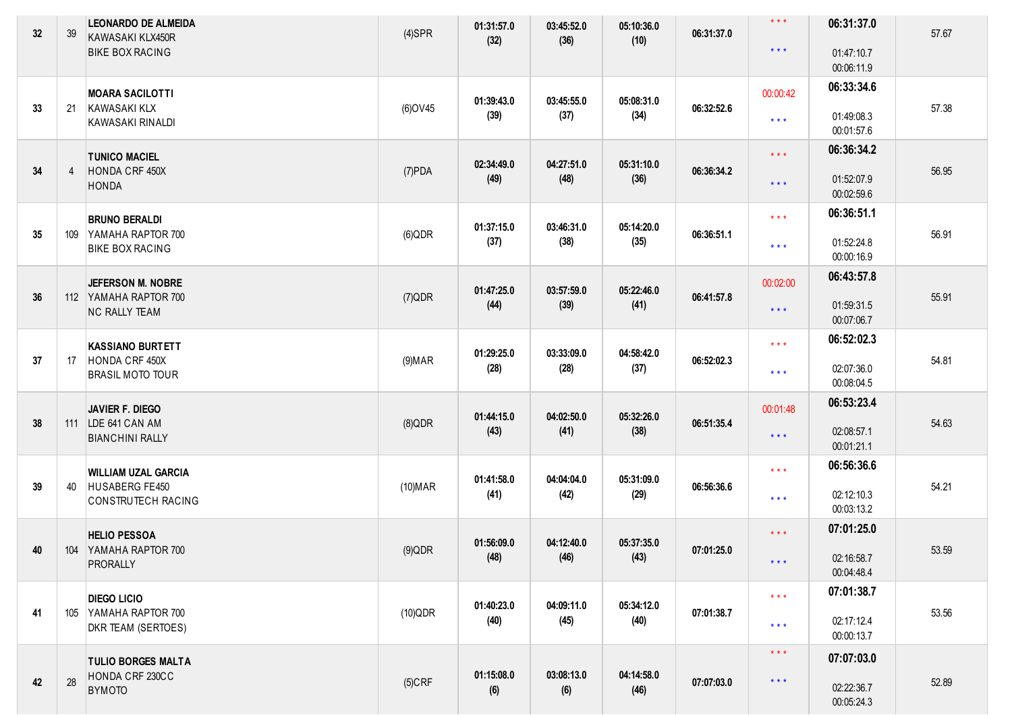| 32 | 39             | <b>LEONARDO DE ALMEIDA</b><br>KAWASAKI KLX450R<br><b>BIKE BOX RACING</b> | $(4)$ SPR      | 01:31:57.0<br>(32) | 03:45:52.0<br>(36) | 05:10:36.0<br>(10) | 06:31:37.0 | $\star\star\star$<br>$***$ | 06:31:37.0<br>01:47:10.7 | 57.67 |
|----|----------------|--------------------------------------------------------------------------|----------------|--------------------|--------------------|--------------------|------------|----------------------------|--------------------------|-------|
|    |                |                                                                          |                |                    |                    |                    |            |                            | 00:06:11.9               |       |
|    |                | <b>MOARA SACILOTTI</b>                                                   |                |                    |                    |                    |            | 00:00:42                   | 06:33:34.6               |       |
| 33 | 21             | KAWASAKI KLX<br><b>KAWASAKI RINALDI</b>                                  | (6) OV45       | 01:39:43.0<br>(39) | 03:45:55.0<br>(37) | 05:08:31.0<br>(34) | 06:32:52.6 | $***$                      | 01:49:08.3<br>00:01:57.6 | 57.38 |
|    |                | <b>TUNICO MACIEL</b>                                                     |                |                    |                    |                    |            | $\star\star\star$          | 06:36:34.2               |       |
| 34 | $\overline{4}$ | HONDA CRF 450X<br><b>HONDA</b>                                           | $(7)$ PDA      | 02:34:49.0<br>(49) | 04:27:51.0<br>(48) | 05:31:10.0<br>(36) | 06:36:34.2 | $\star$ $\star$ $\star$    | 01:52:07.9<br>00:02:59.6 | 56.95 |
|    |                | <b>BRUNO BERALDI</b>                                                     |                |                    |                    |                    |            | $\star\star\star$          | 06:36:51.1               |       |
| 35 |                | 109 YAMAHA RAPTOR 700<br><b>BIKE BOX RACING</b>                          | (6)QDR         | 01:37:15.0<br>(37) | 03:46:31.0<br>(38) | 05:14:20.0<br>(35) | 06:36:51.1 | $***$                      | 01:52:24.8<br>00:00:16.9 | 56.91 |
|    |                | <b>JEFERSON M. NOBRE</b>                                                 |                |                    |                    |                    |            | 00:02:00                   | 06:43:57.8               |       |
| 36 |                | 112 YAMAHA RAPTOR 700                                                    | (7)QDR         | 01:47:25.0<br>(44) | 03:57:59.0<br>(39) | 05:22:46.0<br>(41) | 06:41:57.8 |                            | 01:59:31.5               | 55.91 |
|    |                | <b>NC RALLY TEAM</b>                                                     |                |                    |                    |                    |            | $\star$ $\star$ $\star$    | 00:07:06.7               |       |
|    |                | <b>KASSIANO BURTETT</b>                                                  |                |                    |                    |                    |            | $\star\star\star$          | 06:52:02.3               |       |
| 37 | 17             | HONDA CRF 450X                                                           | (9) <b>MAR</b> | 01:29:25.0         | 03:33:09.0         | 04:58:42.0         | 06:52:02.3 |                            |                          | 54.81 |
|    |                | <b>BRASIL MOTO TOUR</b>                                                  |                | (28)               | (28)               | (37)               |            | $***$                      | 02:07:36.0<br>00:08:04.5 |       |
|    |                | <b>JAVIER F. DIEGO</b>                                                   |                |                    |                    |                    |            | 00:01:48                   | 06:53:23.4               |       |
| 38 |                | 111 LDE 641 CAN AM                                                       | $(8)$ QDR      | 01:44:15.0         | 04:02:50.0         | 05:32:26.0         | 06:51:35.4 |                            |                          | 54.63 |
|    |                | <b>BIANCHINI RALLY</b>                                                   |                | (43)               | (41)               | (38)               |            | $***$                      | 02:08:57.1<br>00:01:21.1 |       |
|    |                |                                                                          |                |                    |                    |                    |            | $\star\star\star$          | 06:56:36.6               |       |
| 39 | 40             | <b>WILLIAM UZAL GARCIA</b><br>HUSABERG FE450                             | $(10)$ MAR     | 01:41:58.0         | 04:04:04.0         | 05:31:09.0         | 06:56:36.6 |                            |                          | 54.21 |
|    |                | CONSTRUTECH RACING                                                       |                | (41)               | (42)               | (29)               |            | $\star$ $\star$ $\star$    | 02:12:10.3<br>00:03:13.2 |       |
|    |                |                                                                          |                |                    |                    |                    |            | $\star\star\star$          | 07:01:25.0               |       |
| 40 |                | <b>HELIO PESSOA</b><br>104 YAMAHA RAPTOR 700                             | $(9)$ QDR      | 01:56:09.0         | 04:12:40.0         | 05:37:35.0         | 07:01:25.0 |                            |                          | 53.59 |
|    |                | PRORALLY                                                                 |                | (48)               | (46)               | (43)               |            | $\star$ $\star$ $\star$    | 02:16:58.7<br>00:04:48.4 |       |
|    |                |                                                                          |                |                    |                    |                    |            | $\star\star\star$          | 07:01:38.7               |       |
| 41 |                | <b>DIEGO LICIO</b><br>105 YAMAHA RAPTOR 700                              | (10)QDR        | 01:40:23.0         | 04:09:11.0         | 05:34:12.0         | 07:01:38.7 |                            |                          | 53.56 |
|    |                | DKR TEAM (SERTOES)                                                       |                | (40)               | (45)               | (40)               |            | $\star$ $\star$ $\star$    | 02:17:12.4<br>00:00:13.7 |       |
|    |                |                                                                          |                |                    |                    |                    |            | $\star$ $\star$ $\star$    | 07:07:03.0               |       |
|    |                | <b>TULIO BORGES MALTA</b><br>HONDA CRF 230CC                             |                | 01:15:08.0         | 03:08:13.0         | 04:14:58.0         |            |                            |                          |       |
| 42 | 28             | <b>BYMOTO</b>                                                            | $(5)$ CRF      | (6)                | (6)                | (46)               | 07:07:03.0 | $\star$ $\star$ $\star$    | 02:22:36.7<br>00:05:24.3 | 52.89 |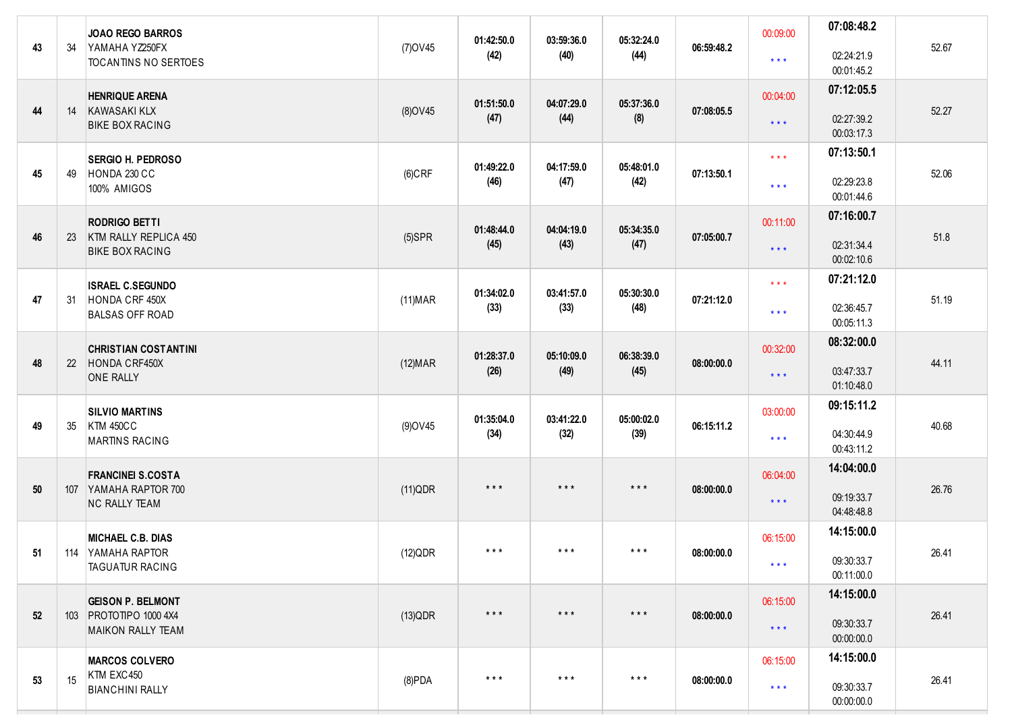| 43 | 34 | <b>JOAO REGO BARROS</b><br>YAMAHA YZ250FX          | 01:42:50.0<br>03:59:36.0<br>(7) OV 45 | 05:32:24.0<br>06:59:48.2<br>(44) |                         | 00:09:00                | 07:08:48.2 | 52.67                   |                          |       |
|----|----|----------------------------------------------------|---------------------------------------|----------------------------------|-------------------------|-------------------------|------------|-------------------------|--------------------------|-------|
|    |    | TOCANTINS NO SERTOES                               |                                       | (42)                             | (40)                    |                         |            | $\star$ $\star$ $\star$ | 02:24:21.9<br>00:01:45.2 |       |
|    |    | <b>HENRIQUE ARENA</b>                              |                                       | 01:51:50.0                       | 04:07:29.0              | 05:37:36.0              |            | 00:04:00                | 07:12:05.5               |       |
| 44 | 14 | KAWASAKI KLX<br><b>BIKE BOX RACING</b>             | $(8)$ OV45                            | (47)                             | (44)                    | (8)                     | 07:08:05.5 | $\star$ $\star$ $\star$ | 02:27:39.2<br>00:03:17.3 | 52.27 |
|    |    | <b>SERGIO H. PEDROSO</b>                           |                                       | 01:49:22.0                       | 04:17:59.0              | 05:48:01.0              |            | $\star$ $\star$ $\star$ | 07:13:50.1               |       |
| 45 | 49 | HONDA 230 CC<br>100% AMIGOS                        | $(6)$ CRF                             | (46)                             | (47)                    | (42)                    | 07:13:50.1 | $\star$ $\star$ $\star$ | 02:29:23.8<br>00:01:44.6 | 52.06 |
|    |    | <b>RODRIGO BETTI</b>                               |                                       | 01:48:44.0                       | 04:04:19.0              | 05:34:35.0              |            | 00:11:00                | 07:16:00.7               |       |
| 46 | 23 | KTM RALLY REPLICA 450<br><b>BIKE BOX RACING</b>    | $(5)$ SPR                             | (45)                             | (43)                    | (47)                    | 07:05:00.7 | $\star$ $\star$ $\star$ | 02:31:34.4<br>00:02:10.6 | 51.8  |
|    |    | <b>ISRAEL C.SEGUNDO</b>                            |                                       | 01:34:02.0                       | 03:41:57.0              | 05:30:30.0              |            | $\star$ $\star$ $\star$ | 07:21:12.0               |       |
| 47 | 31 | HONDA CRF 450X<br><b>BALSAS OFF ROAD</b>           | (11) <b>MAR</b>                       | (33)                             | (33)                    | (48)                    | 07:21:12.0 | $\star$ $\star$ $\star$ | 02:36:45.7<br>00:05:11.3 | 51.19 |
|    |    | <b>CHRISTIAN COSTANTINI</b>                        |                                       | 01:28:37.0                       | 05:10:09.0              | 06:38:39.0              |            | 00:32:00                | 08:32:00.0               |       |
| 48 | 22 | HONDA CRF450X<br><b>ONE RALLY</b>                  | (12) <b>MAR</b>                       | (26)                             | (49)                    | (45)                    | 08:00:00.0 | $\star$ $\star$ $\star$ | 03:47:33.7<br>01:10:48.0 | 44.11 |
|    |    | <b>SILVIO MARTINS</b>                              |                                       | 01:35:04.0                       | 03:41:22.0              | 05:00:02.0              |            | 03:00:00                | 09:15:11.2               |       |
| 49 | 35 | <b>KTM 450CC</b><br><b>MARTINS RACING</b>          | (9) OV 45                             | (34)                             | (32)                    | (39)                    | 06:15:11.2 | $\star$ $\star$ $\star$ | 04:30:44.9<br>00:43:11.2 | 40.68 |
|    |    | <b>FRANCINEI S.COSTA</b>                           |                                       |                                  |                         |                         |            | 06:04:00                | 14:04:00.0               |       |
| 50 |    | 107 YAMAHA RAPTOR 700<br><b>NC RALLY TEAM</b>      | (11)QDR                               | $***$                            | $***$                   | $***$                   | 08:00:00.0 | $\star$ $\star$ $\star$ | 09:19:33.7<br>04:48:48.8 | 26.76 |
|    |    | <b>MICHAEL C.B. DIAS</b>                           |                                       |                                  |                         |                         |            | 06:15:00                | 14:15:00.0               |       |
| 51 |    | 114 YAMAHA RAPTOR<br><b>TAGUATUR RACING</b>        | (12)QDR                               | $\star$ $\star$ $\star$          | $\star$ $\star$ $\star$ | $\star$ $\star$ $\star$ | 08:00:00.0 | $\star$ $\star$ $\star$ | 09:30:33.7<br>00:11:00.0 | 26.41 |
|    |    | <b>GEISON P. BELMONT</b>                           |                                       |                                  |                         |                         |            | 06:15:00                | 14:15:00.0               |       |
| 52 |    | 103 PROTOTIPO 1000 4X4<br><b>MAIKON RALLY TEAM</b> | $(13)$ QDR                            | $\star$ $\star$ $\star$          | $***$                   | $\star$ $\star$ $\star$ | 08:00:00.0 | $\star$ $\star$ $\star$ | 09:30:33.7<br>00:00:00.0 | 26.41 |
|    |    | <b>MARCOS COLVERO</b>                              |                                       |                                  |                         |                         |            | 06:15:00                | 14:15:00.0               |       |
| 53 | 15 | KTM EXC450<br><b>BIANCHINI RALLY</b>               | $(8)$ PDA                             | $***$                            | $\star$ $\star$ $\star$ | $\star$ $\star$ $\star$ | 08:00:00.0 | $\star$ $\star$ $\star$ | 09:30:33.7<br>00:00:00.0 | 26.41 |